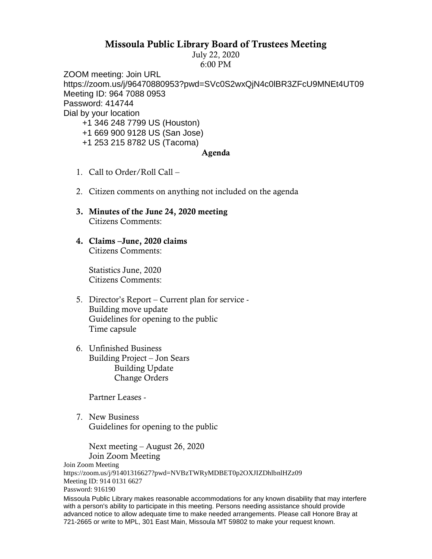## Missoula Public Library Board of Trustees Meeting

July 22, 2020 6:00 PM

ZOOM meeting: Join URL https://zoom.us/j/96470880953?pwd=SVc0S2wxQjN4c0lBR3ZFcU9MNEt4UT09 Meeting ID: 964 7088 0953 Password: 414744 Dial by your location

- +1 346 248 7799 US (Houston)
- +1 669 900 9128 US (San Jose)
- +1 253 215 8782 US (Tacoma)

## Agenda

- 1. Call to Order/Roll Call –
- 2. Citizen comments on anything not included on the agenda
- 3. Minutes of the June 24, 2020 meeting Citizens Comments:
- 4. Claims –June, 2020 claims Citizens Comments:

Statistics June, 2020 Citizens Comments:

- 5. Director's Report Current plan for service Building move update Guidelines for opening to the public Time capsule
- 6. Unfinished Business Building Project – Jon Sears Building Update Change Orders

Partner Leases -

7. New Business Guidelines for opening to the public

Next meeting – August 26, 2020 Join Zoom Meeting

Join Zoom Meeting

```
https://zoom.us/j/91401316627?pwd=NVBzTWRyMDBET0p2OXJIZDhlbnlHZz09
Meeting ID: 914 0131 6627
```
Password: 916190

Missoula Public Library makes reasonable accommodations for any known disability that may interfere with a person's ability to participate in this meeting. Persons needing assistance should provide advanced notice to allow adequate time to make needed arrangements. Please call Honore Bray at 721-2665 or write to MPL, 301 East Main, Missoula MT 59802 to make your request known.